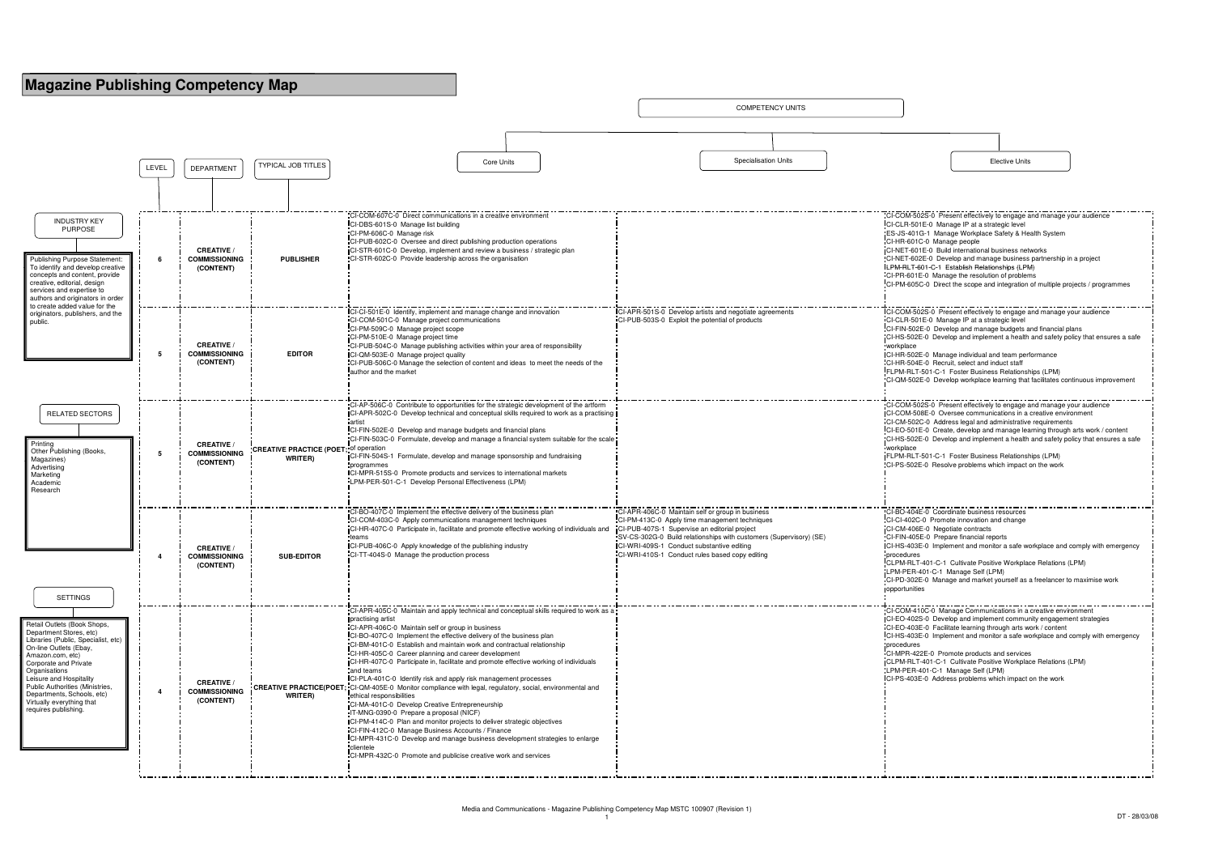COMPETENCY UNITS

| CI-COM-502S-0 Present effectively to engage and manage your audience<br>CI-CLR-501E-0 Manage IP at a strategic level                       |
|--------------------------------------------------------------------------------------------------------------------------------------------|
| ES-JS-401G-1 Manage Workplace Safety & Health System                                                                                       |
| CI-HR-601C-0 Manage people                                                                                                                 |
| CI-NET-601E-0 Build international business networks<br>CI-NET-602E-0 Develop and manage business partnership in a project                  |
| LPM-RLT-601-C-1 Establish Relationships (LPM)                                                                                              |
| CI-PR-601E-0 Manage the resolution of problems                                                                                             |
| CI-PM-605C-0 Direct the scope and integration of multiple projects / programmes                                                            |
|                                                                                                                                            |
| CI-COM-502S-0 Present effectively to engage and manage your audience                                                                       |
| CI-CLR-501E-0 Manage IP at a strategic level                                                                                               |
| CI-FIN-502E-0 Develop and manage budgets and financial plans                                                                               |
| CI-HS-502E-0 Develop and implement a health and safety policy that ensures a safe                                                          |
| workplace<br>CI-HR-502E-0 Manage individual and team performance                                                                           |
| CI-HR-504E-0 Recruit, select and induct staff                                                                                              |
| FLPM-RLT-501-C-1 Foster Business Relationships (LPM)                                                                                       |
| CI-QM-502E-0 Develop workplace learning that facilitates continuous improvement                                                            |
|                                                                                                                                            |
| CI-COM-502S-0 Present effectively to engage and manage your audience                                                                       |
| CI-COM-508E-0 Oversee communications in a creative environment                                                                             |
| CI-CM-502C-0 Address legal and administrative requirements<br>CI-EO-501E-0 Create, develop and manage learning through arts work / content |
| CI-HS-502E-0 Develop and implement a health and safety policy that ensures a safe                                                          |
| workplace                                                                                                                                  |
| FLPM-RLT-501-C-1 Foster Business Relationships (LPM)                                                                                       |
| CI-PS-502E-0 Resolve problems which impact on the work                                                                                     |
|                                                                                                                                            |
|                                                                                                                                            |
|                                                                                                                                            |
|                                                                                                                                            |
| CI-BO-404E-0 Coordinate business resources                                                                                                 |
| CI-CI-402C-0 Promote innovation and change                                                                                                 |
| CI-CM-406E-0 Negotiate contracts<br>CI-FIN-405E-0 Prepare financial reports                                                                |
| CI-HS-403E-0 Implement and monitor a safe workplace and comply with emergency                                                              |
| procedures                                                                                                                                 |
| CLPM-RLT-401-C-1 Cultivate Positive Workplace Relations (LPM)                                                                              |
| LPM-PER-401-C-1 Manage Self (LPM)<br>CI-PD-302E-0 Manage and market yourself as a freelancer to maximise work                              |
| opportunities                                                                                                                              |
|                                                                                                                                            |
| CI-COM-410C-0 Manage Communications in a creative environment                                                                              |
| CI-EO-402S-0 Develop and implement community engagement strategies                                                                         |
| CI-EO-403E-0 Facilitate learning through arts work / content                                                                               |
| CI-HS-403E-0 Implement and monitor a safe workplace and comply with emergency<br>procedures                                                |
| CI-MPR-422E-0 Promote products and services                                                                                                |
| CLPM-RLT-401-C-1 Cultivate Positive Workplace Relations (LPM)                                                                              |
| LPM-PER-401-C-1 Manage Self (LPM)                                                                                                          |
| CI-PS-403E-0 Address problems which impact on the work                                                                                     |
|                                                                                                                                            |
|                                                                                                                                            |
|                                                                                                                                            |
|                                                                                                                                            |
|                                                                                                                                            |
|                                                                                                                                            |
|                                                                                                                                            |



| <b>Elective Units</b> |  |
|-----------------------|--|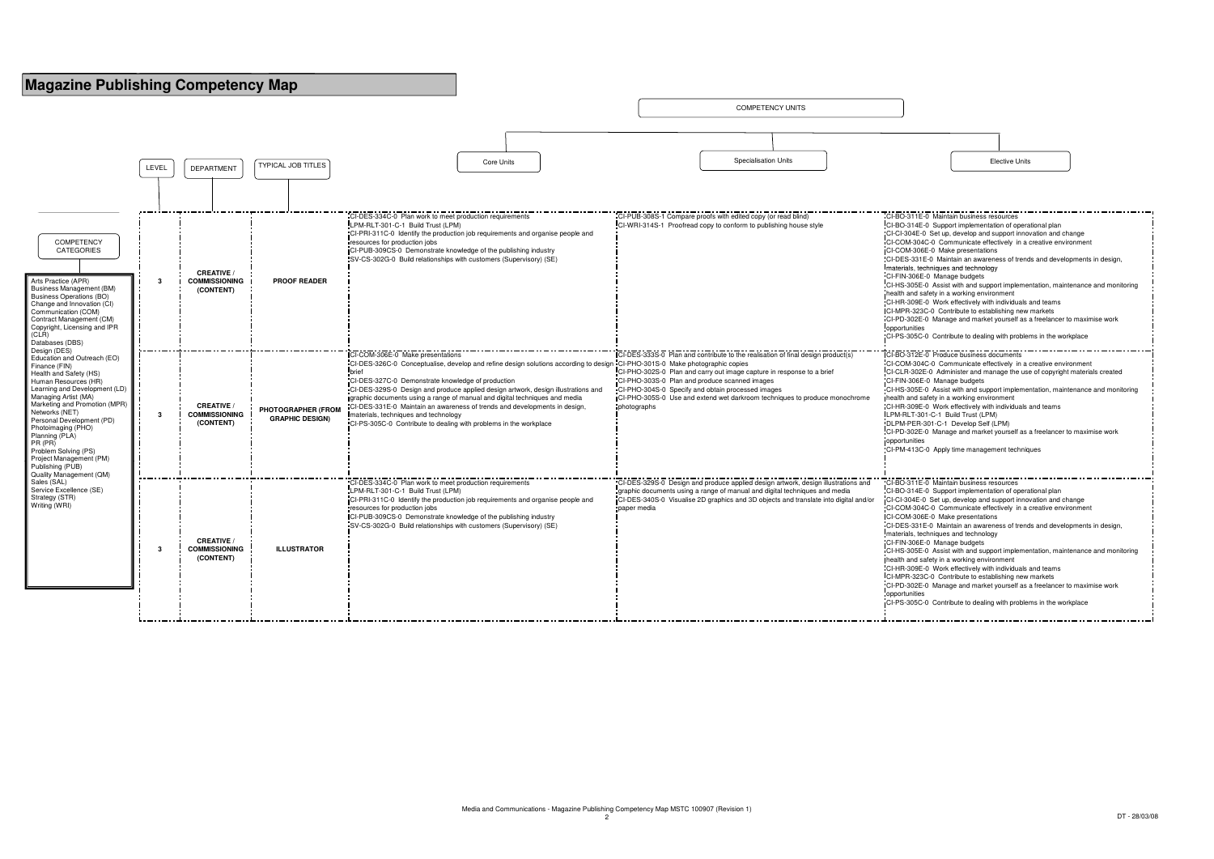COMPETENCY UNITS

LEVEL TYPICAL JOB TITLES Core Units Elective Units DEPARTMENTSpecialisation UnitsCI-DES-334C-0 Plan work to meet production requirements LPM-RLT-301-C-1 Build Trust (LPM) CI-PRI-311C-0 Identify the production job requirements and organise people and resources for production jobs CI-PUB-309CS-0 Demonstrate knowledge of the publishing industry SV-CS-302G-0 Build relationships with customers (Supervisory) (SE) CI-PUB-308S-1 Compare proofs with edited copy (or read blind) CI-WRI-314S-1 Proofread copy to conform to publishing house style $TCI-BO-31$  $C$ I-BO-314  $CL-CI-304E$  $C$ I-COM-30 CI-COM-3 CI-DES-33 **I**materials. **COMPETENCY** CATEGORIES **3CREATIVE / COMMISSIONING (CONTENT)PROOF READER** $CLFIN-306$  $C$ I-HS-305 health and CI-HR-309  $ICLMPR-32$  $CLPD-302$ opportunitie  $C$ I-PS-305 **3CREATIVE / COMMISSIONING (CONTENT)PHOTOGRAPHER (FROM GRAPHIC DESIGN)**CI-COM-306E-0 Make presentations CI-DES-326C-0 Conceptualise, develop and refine design solutions according to design CI-PHO-301S-0 Make photographic copies CI-PHO-302S-0 Plan and carry out image capture in response to a briefbrief CI-DES-327C-0 Demonstrate knowledge of production CI-DES-329S-0 Design and produce applied design artwork, design illustrations and graphic documents using a range of manual and digital techniques and media CI-DES-331E-0 Maintain an awareness of trends and developments in design, materials, techniques and technology CI-PS-305C-0 Contribute to dealing with problems in the workplaceCI-DES-333S-0 Plan and contribute to the realisation of final design product(s)CI-PHO-303S-0 Plan and produce scanned images CI-PHO-304S-0 Specify and obtain processed images CI-PHO-305S-0 Use and extend wet darkroom techniques to produce monochrome photographs.<br>**CI-BO-312** CI-COM-3  $CLR-30$  $Cl-FIN-306$  $C$ I-HS-305  $h$ health and  $CL-HR-309$ LPM-RLT-DLPM-PER- $Cl-PD-302$ opportunitie  $C$ I-PM-413 Arts Practice (APR) Business Management (BM)Business Operations (BO) Change and Innovation (CI) Communication (COM) Contract Management (CM) Copyright, Licensing and IPR (CLR) Databases (DBS) Design (DES) Education and Outreach (EO) Finance (FIN) Health and Safety (HS) Human Resources (HR) Learning and Development (LD)Managing Artist (MA) Marketing and Promotion (MPR)Networks (NET) Personal Development (PD) Photoimaging (PHO) Planning (PLA)PR (PR) Problem Solving (PS) Project Management (PM) **3CREATIVE / COMMISSIONING (CONTENT)ILLUSTRATOR**CI-DES-334C-0 Plan work to meet production requirementsLPM-RLT-301-C-1 Build Trust (LPM) CI-PRI-311C-0 Identify the production job requirements and organise people and resources for production jobs CI-PUB-309CS-0 Demonstrate knowledge of the publishing industry SV-CS-302G-0 Build relationships with customers (Supervisory) (SE) CI-DES-329S-0 Design and produce applied design artwork, design illustrations and graphic documents using a range of manual and digital techniques and media CI-DES-340S-0 Visualise 2D graphics and 3D objects and translate into digital and/or paper media $CL-BO-311$  $CI-BO-314$  $CL-CL-304E$  $IC<sub>LCOM-30</sub>$ CI-DES-33  $<sub>materials</sub>$ </sub>  $CL-FIN-306$ **ihealth and**  $CL-HR-309$  $C$ I-MPR-32  $CLPD-302$ opportunities<br>CLPS-305 Publishing (PUB) Quality Management (QM) Sales (SAL) Service Excellence (SE)Strategy (STR) Writing (WRI)

| CI-BO-311E-0 Maintain business resources                                        |
|---------------------------------------------------------------------------------|
| CI-BO-314E-0 Support implementation of operational plan                         |
| CI-CI-304E-0 Set up, develop and support innovation and change                  |
| CI-COM-304C-0 Communicate effectively in a creative environment                 |
| CI-COM-306E-0 Make presentations                                                |
| CI-DES-331E-0 Maintain an awareness of trends and developments in design,       |
| materials, techniques and technology                                            |
| CI-FIN-306E-0 Manage budgets                                                    |
| CI-HS-305E-0 Assist with and support implementation, maintenance and monitoring |
| health and safety in a working environment                                      |
|                                                                                 |
| CI-HR-309E-0 Work effectively with individuals and teams                        |
| CI-MPR-323C-0 Contribute to establishing new markets                            |
| CI-PD-302E-0 Manage and market yourself as a freelancer to maximise work        |
| opportunities                                                                   |
| CI-PS-305C-0 Contribute to dealing with problems in the workplace               |
|                                                                                 |
| CI-BO-312E-0 Produce business documents                                         |
| CI-COM-304C-0 Communicate effectively in a creative environment                 |
| CI-CLR-302E-0 Administer and manage the use of copyright materials created      |
| CI-FIN-306E-0 Manage budgets                                                    |
| CI-HS-305E-0 Assist with and support implementation, maintenance and monitoring |
| health and safety in a working environment                                      |
| CI-HR-309E-0 Work effectively with individuals and teams                        |
| LPM-RLT-301-C-1 Build Trust (LPM)                                               |
| DLPM-PER-301-C-1 Develop Self (LPM)                                             |
| CI-PD-302E-0 Manage and market yourself as a freelancer to maximise work        |
| opportunities                                                                   |
| CI-PM-413C-0 Apply time management techniques                                   |
|                                                                                 |
|                                                                                 |
|                                                                                 |
| CI-BO-311E-0 Maintain business resources                                        |
| CI-BO-314E-0 Support implementation of operational plan                         |
| CI-CI-304E-0 Set up, develop and support innovation and change                  |
| CI-COM-304C-0 Communicate effectively in a creative environment                 |
| CI-COM-306E-0 Make presentations                                                |
| CI-DES-331E-0 Maintain an awareness of trends and developments in design,       |
|                                                                                 |
| materials, techniques and technology                                            |
| CI-FIN-306E-0 Manage budgets                                                    |
| CI-HS-305E-0 Assist with and support implementation, maintenance and monitoring |
| health and safety in a working environment                                      |
| CI-HR-309E-0 Work effectively with individuals and teams                        |
| CI-MPR-323C-0 Contribute to establishing new markets                            |
| CI-PD-302E-0 Manage and market yourself as a freelancer to maximise work        |
| opportunities                                                                   |
| CI-PS-305C-0 Contribute to dealing with problems in the workplace               |
|                                                                                 |
|                                                                                 |

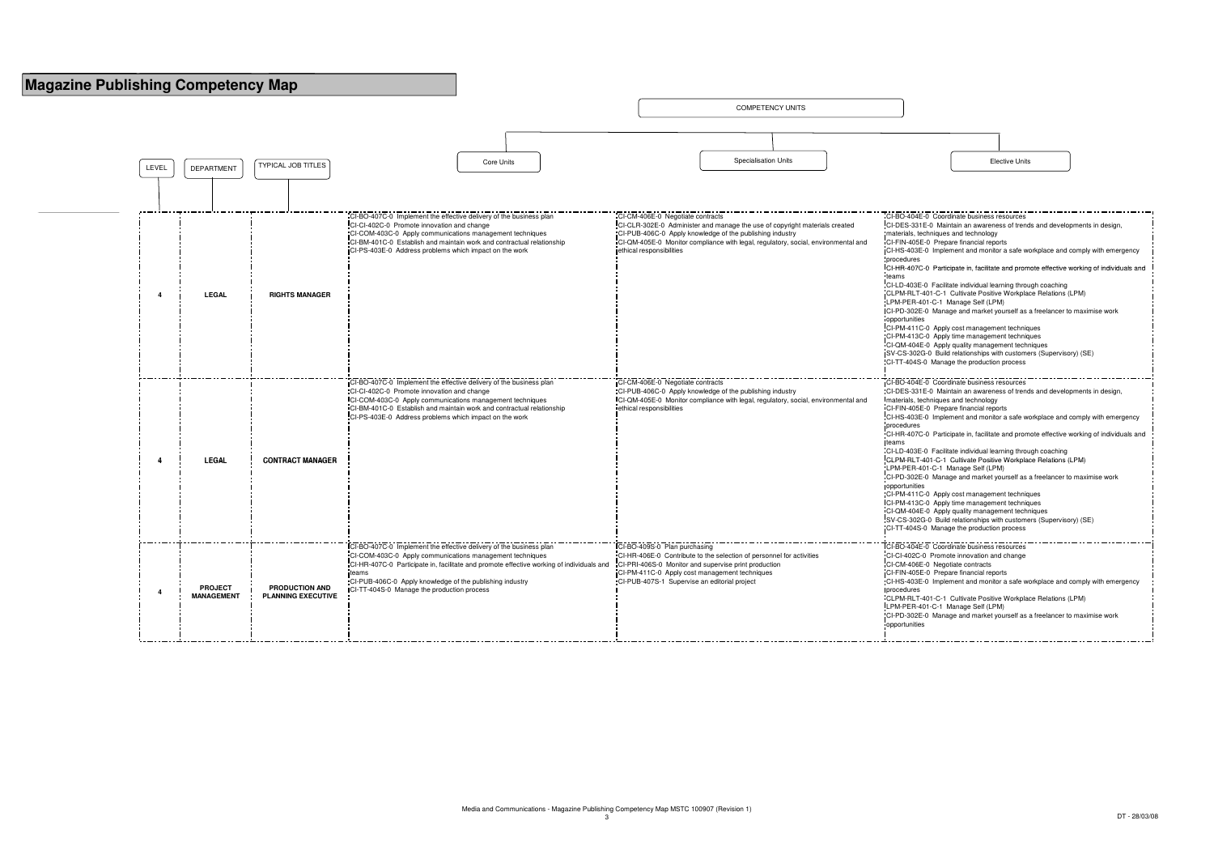

| CI-BO-404E-0 Coordinate business resources                                               |
|------------------------------------------------------------------------------------------|
| CI-DES-331E-0 Maintain an awareness of trends and developments in design,                |
| materials, techniques and technology                                                     |
| CI-FIN-405E-0 Prepare financial reports                                                  |
| CI-HS-403E-0 Implement and monitor a safe workplace and comply with emergency            |
| procedures                                                                               |
| CI-HR-407C-0 Participate in, facilitate and promote effective working of individuals and |
| teams                                                                                    |
| CI-LD-403E-0 Facilitate individual learning through coaching                             |
| CLPM-RLT-401-C-1 Cultivate Positive Workplace Relations (LPM)                            |
| LPM-PER-401-C-1 Manage Self (LPM)                                                        |
| CI-PD-302E-0 Manage and market yourself as a freelancer to maximise work                 |
| opportunities                                                                            |
| CI-PM-411C-0 Apply cost management techniques                                            |
| CI-PM-413C-0 Apply time management techniques                                            |
| CI-QM-404E-0 Apply quality management techniques                                         |
| SV-CS-302G-0 Build relationships with customers (Supervisory) (SE)                       |
| CI-TT-404S-0 Manage the production process                                               |
|                                                                                          |
|                                                                                          |
| CI-BO-404E-0 Coordinate business resources                                               |
| CI-DES-331E-0 Maintain an awareness of trends and developments in design,                |
| materials, techniques and technology                                                     |
| CI-FIN-405E-0 Prepare financial reports                                                  |
| CI-HS-403E-0 Implement and monitor a safe workplace and comply with emergency            |
| procedures                                                                               |
| CI-HR-407C-0 Participate in, facilitate and promote effective working of individuals and |
| teams                                                                                    |
| CI-LD-403E-0 Facilitate individual learning through coaching                             |
| CLPM-RLT-401-C-1 Cultivate Positive Workplace Relations (LPM)                            |
| LPM-PER-401-C-1 Manage Self (LPM)                                                        |
| CI-PD-302E-0 Manage and market yourself as a freelancer to maximise work                 |
| opportunities                                                                            |
| CI-PM-411C-0 Apply cost management techniques                                            |
| CI-PM-413C-0 Apply time management techniques                                            |
| CI-QM-404E-0 Apply quality management techniques                                         |
| SV-CS-302G-0 Build relationships with customers (Supervisory) (SE)                       |
| CI-TT-404S-0 Manage the production process                                               |
|                                                                                          |
| CI-BO-404E-0 Coordinate business resources                                               |
| CI-CI-402C-0 Promote innovation and change                                               |
| CI-CM-406E-0 Negotiate contracts                                                         |
| CI-FIN-405E-0 Prepare financial reports                                                  |
| CI-HS-403E-0 Implement and monitor a safe workplace and comply with emergency            |
| procedures                                                                               |
| CLPM-RLT-401-C-1 Cultivate Positive Workplace Relations (LPM)                            |
| LPM-PER-401-C-1 Manage Self (LPM)                                                        |
| CI-PD-302E-0 Manage and market yourself as a freelancer to maximise work                 |
| opportunities                                                                            |
|                                                                                          |
|                                                                                          |

| <b>Elective Units</b> |  |
|-----------------------|--|
|                       |  |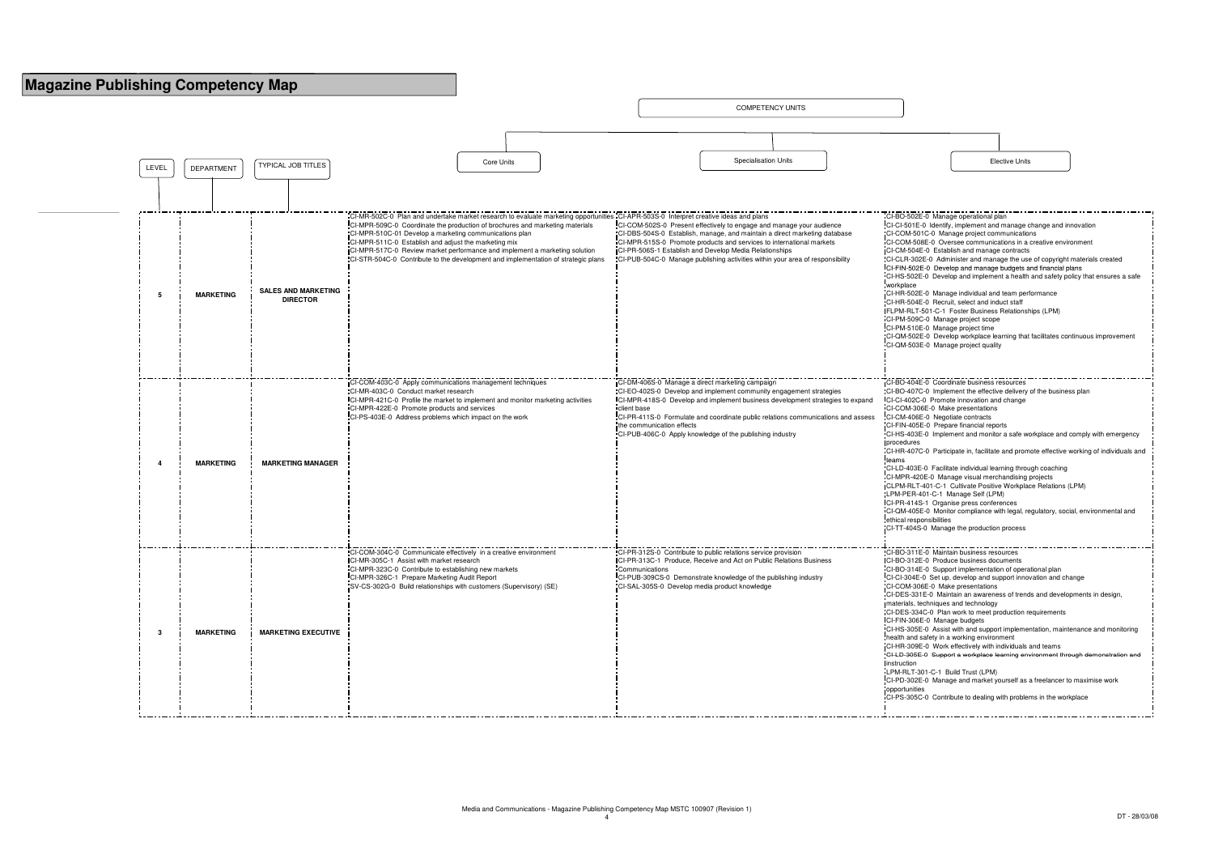

| CI-BO-502E-0 Manage operational plan                                                     |
|------------------------------------------------------------------------------------------|
| CI-CI-501E-0 Identify, implement and manage change and innovation                        |
| CI-COM-501C-0 Manage project communications                                              |
| CI-COM-508E-0 Oversee communications in a creative environment                           |
| CI-CM-504E-0 Establish and manage contracts                                              |
| CI-CLR-302E-0 Administer and manage the use of copyright materials created               |
| CI-FIN-502E-0 Develop and manage budgets and financial plans                             |
| CI-HS-502E-0 Develop and implement a health and safety policy that ensures a safe        |
| workplace                                                                                |
| CI-HR-502E-0 Manage individual and team performance                                      |
| CI-HR-504E-0 Recruit, select and induct staff                                            |
| FLPM-RLT-501-C-1 Foster Business Relationships (LPM)                                     |
| CI-PM-509C-0 Manage project scope                                                        |
| CI-PM-510E-0 Manage project time                                                         |
| CI-QM-502E-0 Develop workplace learning that facilitates continuous improvement          |
| CI-QM-503E-0 Manage project quality                                                      |
|                                                                                          |
|                                                                                          |
|                                                                                          |
| CI-BO-404E-0 Coordinate business resources                                               |
| CI-BO-407C-0 Implement the effective delivery of the business plan                       |
| CI-CI-402C-0 Promote innovation and change                                               |
| CI-COM-306E-0 Make presentations                                                         |
| CI-CM-406E-0 Negotiate contracts                                                         |
| CI-FIN-405E-0 Prepare financial reports                                                  |
| CI-HS-403E-0 Implement and monitor a safe workplace and comply with emergency            |
| procedures                                                                               |
| CI-HR-407C-0 Participate in, facilitate and promote effective working of individuals and |
| teams                                                                                    |
| CI-LD-403E-0 Facilitate individual learning through coaching                             |
| CI-MPR-420E-0 Manage visual merchandising projects                                       |
| CLPM-RLT-401-C-1 Cultivate Positive Workplace Relations (LPM)                            |
| LPM-PER-401-C-1 Manage Self (LPM)                                                        |
| CI-PR-414S-1 Organise press conferences                                                  |
| CI-QM-405E-0 Monitor compliance with legal, regulatory, social, environmental and        |
| ethical responsibilities                                                                 |
| CI-TT-404S-0 Manage the production process                                               |
|                                                                                          |
| CI-BO-311E-0 Maintain business resources                                                 |
| CI-BO-312E-0 Produce business documents                                                  |
| CI-BO-314E-0 Support implementation of operational plan                                  |
| CI-CI-304E-0 Set up, develop and support innovation and change                           |
| CI-COM-306E-0 Make presentations                                                         |
| CI-DES-331E-0 Maintain an awareness of trends and developments in design,                |
| materials, techniques and technology                                                     |
| CI-DES-334C-0 Plan work to meet production requirements                                  |
| CI-FIN-306E-0 Manage budgets                                                             |
| CI-HS-305E-0 Assist with and support implementation, maintenance and monitoring          |
| health and safety in a working environment                                               |
| CI-HR-309E-0 Work effectively with individuals and teams                                 |
| CI-LD-305E-0 Support a workplace learning environment through demonstration and          |
| instruction                                                                              |
| LPM-RLT-301-C-1 Build Trust (LPM)                                                        |
| CI-PD-302E-0 Manage and market yourself as a freelancer to maximise work                 |
| opportunities                                                                            |
| CI-PS-305C-0 Contribute to dealing with problems in the workplace                        |
|                                                                                          |
|                                                                                          |

| <b>Elective Units</b> |  |
|-----------------------|--|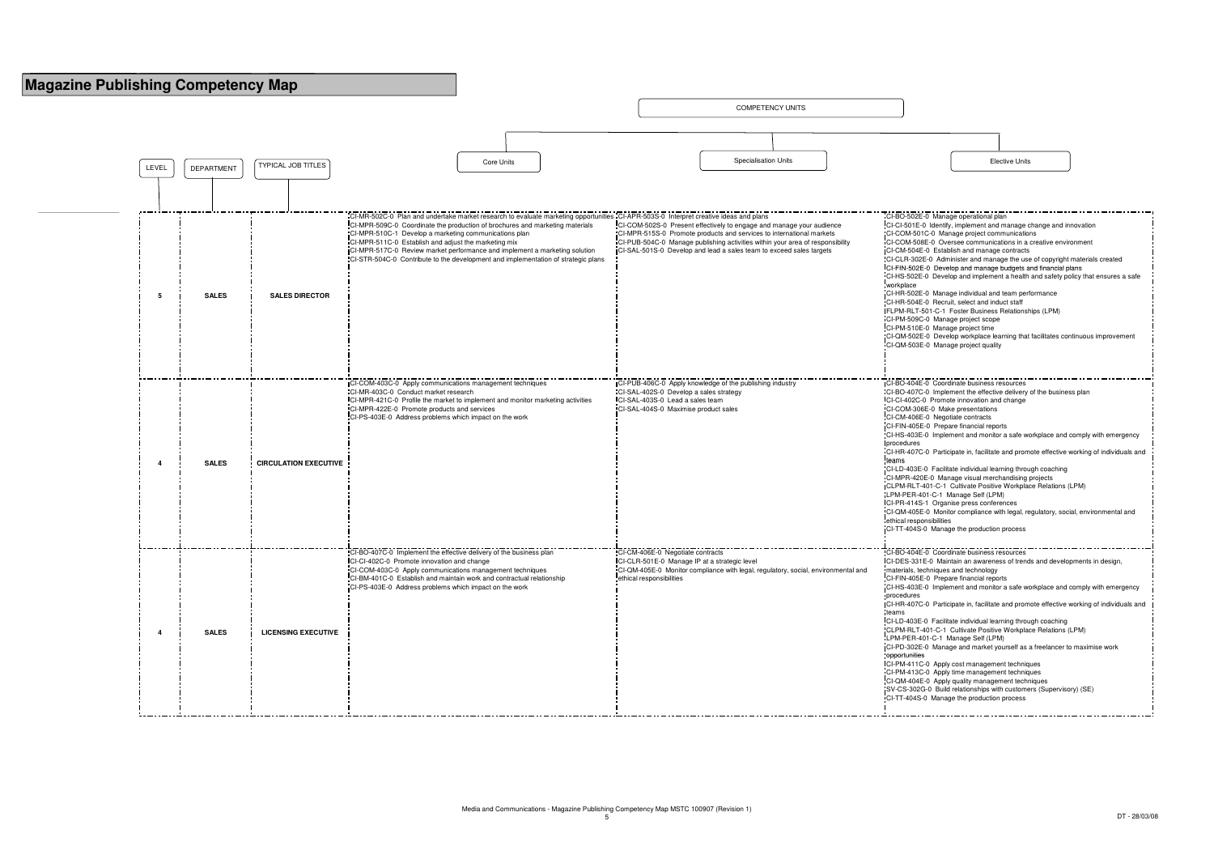

| <b>Elective Units</b> |  |
|-----------------------|--|